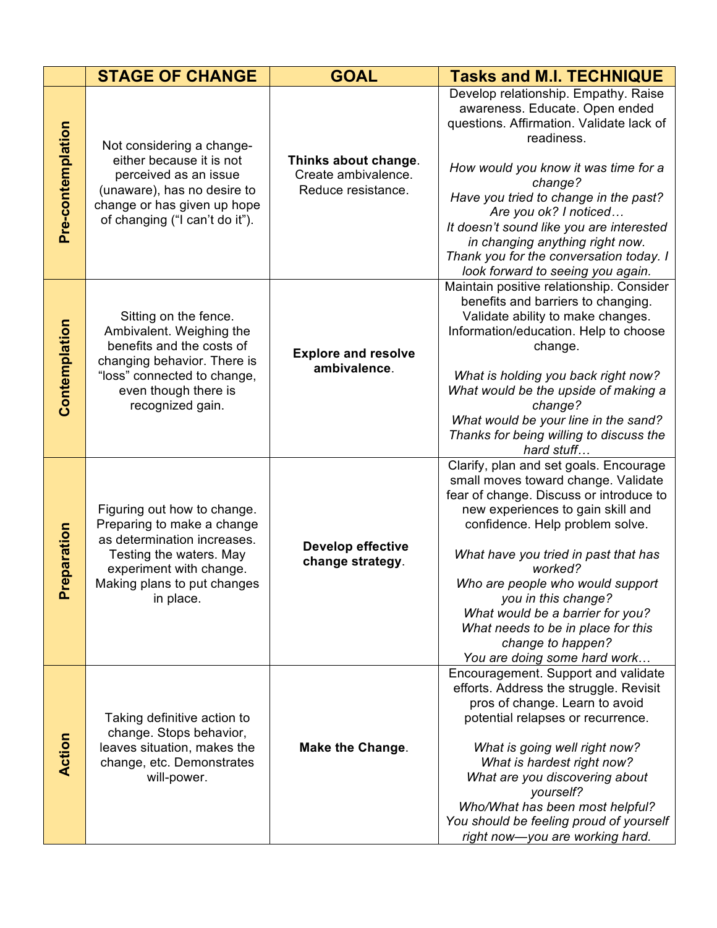|                   | <b>STAGE OF CHANGE</b>                                                                                                                                                                     | <b>GOAL</b>                                                       | <b>Tasks and M.I. TECHNIQUE</b>                                                                                                                                                                                                                                                                                                                                                                                                               |
|-------------------|--------------------------------------------------------------------------------------------------------------------------------------------------------------------------------------------|-------------------------------------------------------------------|-----------------------------------------------------------------------------------------------------------------------------------------------------------------------------------------------------------------------------------------------------------------------------------------------------------------------------------------------------------------------------------------------------------------------------------------------|
| Pre-contemplation | Not considering a change-<br>either because it is not<br>perceived as an issue<br>(unaware), has no desire to<br>change or has given up hope<br>of changing ("I can't do it").             | Thinks about change.<br>Create ambivalence.<br>Reduce resistance. | Develop relationship. Empathy. Raise<br>awareness. Educate. Open ended<br>questions. Affirmation. Validate lack of<br>readiness.<br>How would you know it was time for a<br>change?<br>Have you tried to change in the past?<br>Are you ok? I noticed<br>It doesn't sound like you are interested<br>in changing anything right now.<br>Thank you for the conversation today. I<br>look forward to seeing you again.                          |
| Contemplation     | Sitting on the fence.<br>Ambivalent. Weighing the<br>benefits and the costs of<br>changing behavior. There is<br>"loss" connected to change,<br>even though there is<br>recognized gain.   | <b>Explore and resolve</b><br>ambivalence.                        | Maintain positive relationship. Consider<br>benefits and barriers to changing.<br>Validate ability to make changes.<br>Information/education. Help to choose<br>change.<br>What is holding you back right now?<br>What would be the upside of making a<br>change?<br>What would be your line in the sand?<br>Thanks for being willing to discuss the<br>hard stuff                                                                            |
| reparation<br>Δ.  | Figuring out how to change.<br>Preparing to make a change<br>as determination increases.<br>Testing the waters. May<br>experiment with change.<br>Making plans to put changes<br>in place. | Develop effective<br>change strategy.                             | Clarify, plan and set goals. Encourage<br>small moves toward change. Validate<br>fear of change. Discuss or introduce to<br>new experiences to gain skill and<br>confidence. Help problem solve.<br>What have you tried in past that has<br>worked?<br>Who are people who would support<br>you in this change?<br>What would be a barrier for you?<br>What needs to be in place for this<br>change to happen?<br>You are doing some hard work |
| Action            | Taking definitive action to<br>change. Stops behavior,<br>leaves situation, makes the<br>change, etc. Demonstrates<br>will-power.                                                          | <b>Make the Change.</b>                                           | Encouragement. Support and validate<br>efforts. Address the struggle. Revisit<br>pros of change. Learn to avoid<br>potential relapses or recurrence.<br>What is going well right now?<br>What is hardest right now?<br>What are you discovering about<br>yourself?<br>Who/What has been most helpful?<br>You should be feeling proud of yourself<br>right now-you are working hard.                                                           |